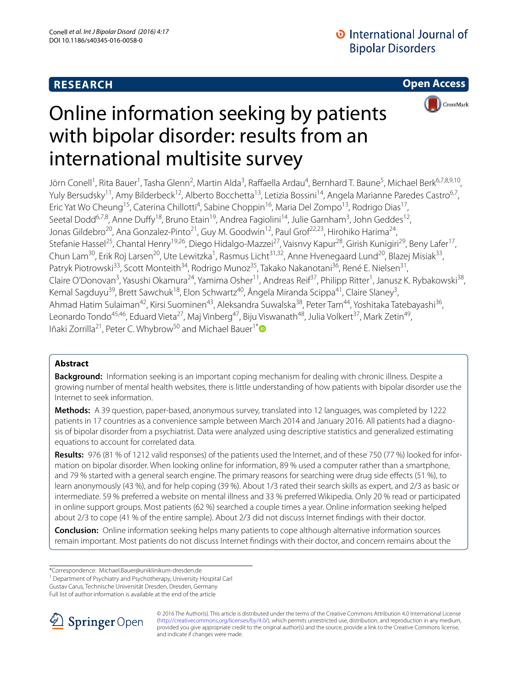# **RESEARCH**

**Open Access**



# Online information seeking by patients with bipolar disorder: results from an international multisite survey

Jörn Conell<sup>1</sup>, Rita Bauer<sup>1</sup>, Tasha Glenn<sup>2</sup>, Martin Alda<sup>3</sup>, Raffaella Ardau<sup>4</sup>, Bernhard T. Baune<sup>5</sup>, Michael Berk<sup>6,7,8,9,10</sup>, Yuly Bersudsky<sup>11</sup>, Amy Bilderbeck<sup>12</sup>, Alberto Bocchetta<sup>13</sup>, Letizia Bossini<sup>14</sup>, Angela Marianne Paredes Castro<sup>6,7</sup>, Eric Yat Wo Cheung<sup>15</sup>, Caterina Chillotti<sup>4</sup>, Sabine Choppin<sup>16</sup>, Maria Del Zompo<sup>13</sup>, Rodrigo Dias<sup>17</sup>, Seetal Dodd<sup>6,7,8</sup>, Anne Duffy<sup>18</sup>, Bruno Etain<sup>19</sup>, Andrea Fagiolini<sup>14</sup>, Julie Garnham<sup>3</sup>, John Geddes<sup>12</sup>, Jonas Gildebro<sup>20</sup>, Ana Gonzalez-Pinto<sup>21</sup>, Guy M. Goodwin<sup>12</sup>, Paul Grof<sup>22,23</sup>, Hirohiko Harima<sup>24</sup>, Stefanie Hassel<sup>25</sup>, Chantal Henry<sup>19,26</sup>, Diego Hidalgo-Mazzei<sup>27</sup>, Vaisnvy Kapur<sup>28</sup>, Girish Kunigiri<sup>29</sup>, Beny Lafer<sup>17</sup>, Chun Lam<sup>30</sup>, Erik Roj Larsen<sup>20</sup>, Ute Lewitzka<sup>1</sup>, Rasmus Licht<sup>31,32</sup>, Anne Hvenegaard Lund<sup>20</sup>, Blazej Misiak<sup>33</sup>, Patryk Piotrowski<sup>33</sup>, Scott Monteith<sup>34</sup>, Rodrigo Munoz<sup>35</sup>, Takako Nakanotani<sup>36</sup>, René E. Nielsen<sup>31</sup>, Claire O'Donovan<sup>3</sup>, Yasushi Okamura<sup>24</sup>, Yamima Osher<sup>11</sup>, Andreas Reif<sup>37</sup>, Philipp Ritter<sup>1</sup>, Janusz K. Rybakowski<sup>38</sup>, Kemal Sagduyu<sup>39</sup>, Brett Sawchuk<sup>18</sup>, Elon Schwartz<sup>40</sup>, Ângela Miranda Scippa<sup>41</sup>, Claire Slaney<sup>3</sup>, Ahmad Hatim Sulaiman<sup>42</sup>, Kirsi Suominen<sup>43</sup>, Aleksandra Suwalska<sup>38</sup>, Peter Tam<sup>44</sup>, Yoshitaka Tatebayashi<sup>36</sup>, Leonardo Tondo<sup>45,46</sup>, Eduard Vieta<sup>27</sup>, Maj Vinberg<sup>47</sup>, Biju Viswanath<sup>48</sup>, Julia Volkert<sup>37</sup>, Mark Zetin<sup>49</sup>, Iñaki Zorrilla<sup>21</sup>, Peter C. Whybrow<sup>50</sup> and Michael Bauer<sup>1[\\*](http://orcid.org/0000-0002-2666-859X)</sup><sup>®</sup>

# **Abstract**

**Background:** Information seeking is an important coping mechanism for dealing with chronic illness. Despite a growing number of mental health websites, there is little understanding of how patients with bipolar disorder use the Internet to seek information.

**Methods:** A 39 question, paper-based, anonymous survey, translated into 12 languages, was completed by 1222 patients in 17 countries as a convenience sample between March 2014 and January 2016. All patients had a diagnosis of bipolar disorder from a psychiatrist. Data were analyzed using descriptive statistics and generalized estimating equations to account for correlated data.

Results: 976 (81 % of 1212 valid responses) of the patients used the Internet, and of these 750 (77 %) looked for information on bipolar disorder. When looking online for information, 89 % used a computer rather than a smartphone, and 79 % started with a general search engine. The primary reasons for searching were drug side effects (51 %), to learn anonymously (43 %), and for help coping (39 %). About 1/3 rated their search skills as expert, and 2/3 as basic or intermediate. 59 % preferred a website on mental illness and 33 % preferred Wikipedia. Only 20 % read or participated in online support groups. Most patients (62 %) searched a couple times a year. Online information seeking helped about 2/3 to cope (41 % of the entire sample). About 2/3 did not discuss Internet findings with their doctor.

**Conclusion:** Online information seeking helps many patients to cope although alternative information sources remain important. Most patients do not discuss Internet findings with their doctor, and concern remains about the

\*Correspondence: Michael.Bauer@uniklinikum‑dresden.de

<sup>1</sup> Department of Psychiatry and Psychotherapy, University Hospital Carl

Gustav Carus, Technische Universität Dresden, Dresden, Germany

Full list of author information is available at the end of the article



© 2016 The Author(s). This article is distributed under the terms of the Creative Commons Attribution 4.0 International License [\(http://creativecommons.org/licenses/by/4.0/\)](http://creativecommons.org/licenses/by/4.0/), which permits unrestricted use, distribution, and reproduction in any medium, provided you give appropriate credit to the original author(s) and the source, provide a link to the Creative Commons license, and indicate if changes were made.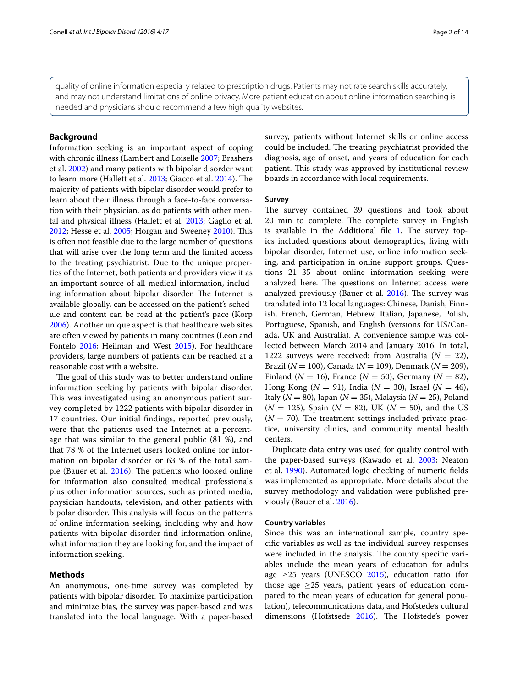quality of online information especially related to prescription drugs. Patients may not rate search skills accurately, and may not understand limitations of online privacy. More patient education about online information searching is needed and physicians should recommend a few high quality websites.

#### **Background**

Information seeking is an important aspect of coping with chronic illness (Lambert and Loiselle [2007;](#page-12-0) Brashers et al. [2002](#page-11-0)) and many patients with bipolar disorder want to learn more (Hallett et al. [2013](#page-11-1); Giacco et al. [2014](#page-11-2)). The majority of patients with bipolar disorder would prefer to learn about their illness through a face-to-face conversation with their physician, as do patients with other mental and physical illness (Hallett et al. [2013;](#page-11-1) Gaglio et al. [2012](#page-11-3); Hesse et al. [2005](#page-11-4); Horgan and Sweeney [2010\)](#page-11-5). This is often not feasible due to the large number of questions that will arise over the long term and the limited access to the treating psychiatrist. Due to the unique properties of the Internet, both patients and providers view it as an important source of all medical information, including information about bipolar disorder. The Internet is available globally, can be accessed on the patient's schedule and content can be read at the patient's pace (Korp [2006](#page-11-6)). Another unique aspect is that healthcare web sites are often viewed by patients in many countries (Leon and Fontelo [2016](#page-12-1); Heilman and West [2015\)](#page-11-7). For healthcare providers, large numbers of patients can be reached at a reasonable cost with a website.

The goal of this study was to better understand online information seeking by patients with bipolar disorder. This was investigated using an anonymous patient survey completed by 1222 patients with bipolar disorder in 17 countries. Our initial findings, reported previously, were that the patients used the Internet at a percentage that was similar to the general public (81 %), and that 78 % of the Internet users looked online for information on bipolar disorder or 63 % of the total sample (Bauer et al. [2016\)](#page-10-0). The patients who looked online for information also consulted medical professionals plus other information sources, such as printed media, physician handouts, television, and other patients with bipolar disorder. This analysis will focus on the patterns of online information seeking, including why and how patients with bipolar disorder find information online, what information they are looking for, and the impact of information seeking.

#### **Methods**

An anonymous, one-time survey was completed by patients with bipolar disorder. To maximize participation and minimize bias, the survey was paper-based and was translated into the local language. With a paper-based survey, patients without Internet skills or online access could be included. The treating psychiatrist provided the diagnosis, age of onset, and years of education for each patient. This study was approved by institutional review boards in accordance with local requirements.

#### **Survey**

The survey contained 39 questions and took about 20 min to complete. The complete survey in English is available in the Additional file [1.](#page-10-1) The survey topics included questions about demographics, living with bipolar disorder, Internet use, online information seeking, and participation in online support groups. Questions 21–35 about online information seeking were analyzed here. The questions on Internet access were analyzed previously (Bauer et al. [2016\)](#page-10-0). The survey was translated into 12 local languages: Chinese, Danish, Finnish, French, German, Hebrew, Italian, Japanese, Polish, Portuguese, Spanish, and English (versions for US/Canada, UK and Australia). A convenience sample was collected between March 2014 and January 2016. In total, 1222 surveys were received: from Australia  $(N = 22)$ , Brazil (*N* = 100), Canada (*N* = 109), Denmark (*N* = 209), Finland ( $N = 16$ ), France ( $N = 50$ ), Germany ( $N = 82$ ), Hong Kong (*N* = 91), India (*N* = 30), Israel (*N* = 46), Italy (*N* = 80), Japan (*N* = 35), Malaysia (*N* = 25), Poland  $(N = 125)$ , Spain  $(N = 82)$ , UK  $(N = 50)$ , and the US  $(N = 70)$ . The treatment settings included private practice, university clinics, and community mental health centers.

Duplicate data entry was used for quality control with the paper-based surveys (Kawado et al. [2003](#page-11-8); Neaton et al. [1990\)](#page-12-2). Automated logic checking of numeric fields was implemented as appropriate. More details about the survey methodology and validation were published previously (Bauer et al. [2016](#page-10-0)).

#### **Country variables**

Since this was an international sample, country specific variables as well as the individual survey responses were included in the analysis. The county specific variables include the mean years of education for adults age  $\geq$ 25 years (UNESCO [2015\)](#page-13-0), education ratio (for those age  $\geq$ 25 years, patient years of education compared to the mean years of education for general population), telecommunications data, and Hofstede's cultural dimensions (Hofstsede [2016](#page-11-9)). The Hofstede's power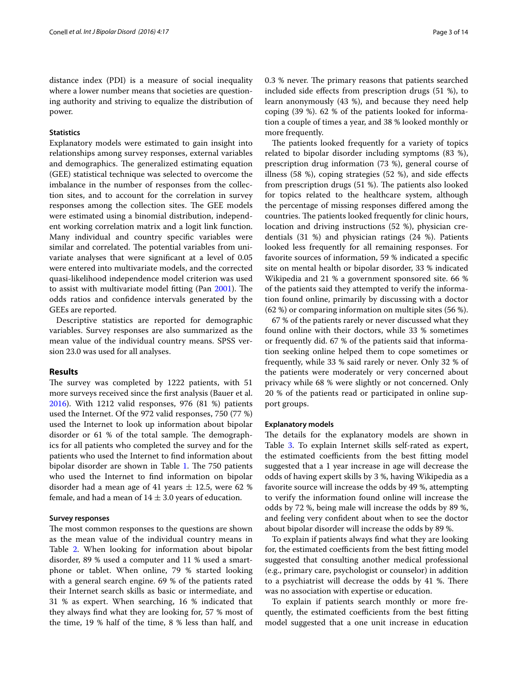distance index (PDI) is a measure of social inequality where a lower number means that societies are questioning authority and striving to equalize the distribution of power.

#### **Statistics**

Explanatory models were estimated to gain insight into relationships among survey responses, external variables and demographics. The generalized estimating equation (GEE) statistical technique was selected to overcome the imbalance in the number of responses from the collection sites, and to account for the correlation in survey responses among the collection sites. The GEE models were estimated using a binomial distribution, independent working correlation matrix and a logit link function. Many individual and country specific variables were similar and correlated. The potential variables from univariate analyses that were significant at a level of 0.05 were entered into multivariate models, and the corrected quasi-likelihood independence model criterion was used to assist with multivariate model fitting (Pan [2001](#page-12-3)). The odds ratios and confidence intervals generated by the GEEs are reported.

Descriptive statistics are reported for demographic variables. Survey responses are also summarized as the mean value of the individual country means. SPSS version 23.0 was used for all analyses.

#### **Results**

The survey was completed by 1222 patients, with 51 more surveys received since the first analysis (Bauer et al. [2016](#page-10-0)). With 1212 valid responses, 976 (81 %) patients used the Internet. Of the 972 valid responses, 750 (77 %) used the Internet to look up information about bipolar disorder or 61 % of the total sample. The demographics for all patients who completed the survey and for the patients who used the Internet to find information about bipolar disorder are shown in Table [1](#page-3-0). The 750 patients who used the Internet to find information on bipolar disorder had a mean age of 41 years  $\pm$  12.5, were 62 % female, and had a mean of  $14 \pm 3.0$  years of education.

#### **Survey responses**

The most common responses to the questions are shown as the mean value of the individual country means in Table [2.](#page-4-0) When looking for information about bipolar disorder, 89 % used a computer and 11 % used a smartphone or tablet. When online, 79 % started looking with a general search engine. 69 % of the patients rated their Internet search skills as basic or intermediate, and 31 % as expert. When searching, 16 % indicated that they always find what they are looking for, 57 % most of the time, 19 % half of the time, 8 % less than half, and 0.3 % never. The primary reasons that patients searched included side effects from prescription drugs (51 %), to learn anonymously (43 %), and because they need help coping (39 %). 62 % of the patients looked for information a couple of times a year, and 38 % looked monthly or more frequently.

The patients looked frequently for a variety of topics related to bipolar disorder including symptoms (83 %), prescription drug information (73 %), general course of illness (58 %), coping strategies (52 %), and side effects from prescription drugs (51 %). The patients also looked for topics related to the healthcare system, although the percentage of missing responses differed among the countries. The patients looked frequently for clinic hours, location and driving instructions (52 %), physician credentials (31 %) and physician ratings (24 %). Patients looked less frequently for all remaining responses. For favorite sources of information, 59 % indicated a specific site on mental health or bipolar disorder, 33 % indicated Wikipedia and 21 % a government sponsored site. 66 % of the patients said they attempted to verify the information found online, primarily by discussing with a doctor (62 %) or comparing information on multiple sites (56 %).

67 % of the patients rarely or never discussed what they found online with their doctors, while 33 % sometimes or frequently did. 67 % of the patients said that information seeking online helped them to cope sometimes or frequently, while 33 % said rarely or never. Only 32 % of the patients were moderately or very concerned about privacy while 68 % were slightly or not concerned. Only 20 % of the patients read or participated in online support groups.

#### **Explanatory models**

The details for the explanatory models are shown in Table [3](#page-5-0). To explain Internet skills self-rated as expert, the estimated coefficients from the best fitting model suggested that a 1 year increase in age will decrease the odds of having expert skills by 3 %, having Wikipedia as a favorite source will increase the odds by 49 %, attempting to verify the information found online will increase the odds by 72 %, being male will increase the odds by 89 %, and feeling very confident about when to see the doctor about bipolar disorder will increase the odds by 89 %.

To explain if patients always find what they are looking for, the estimated coefficients from the best fitting model suggested that consulting another medical professional (e.g., primary care, psychologist or counselor) in addition to a psychiatrist will decrease the odds by 41 %. There was no association with expertise or education.

To explain if patients search monthly or more frequently, the estimated coefficients from the best fitting model suggested that a one unit increase in education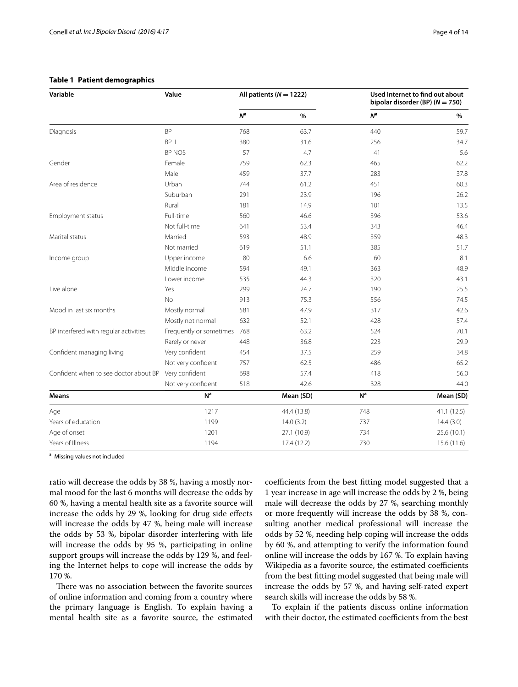| Variable                              | Value                   |                | All patients ( $N = 1222$ ) |                | Used Internet to find out about<br>bipolar disorder (BP) ( $N = 750$ ) |  |  |
|---------------------------------------|-------------------------|----------------|-----------------------------|----------------|------------------------------------------------------------------------|--|--|
|                                       |                         | N <sup>a</sup> | %                           | $N^{\rm a}$    | %                                                                      |  |  |
| Diagnosis                             | BP <sub>I</sub>         | 768            | 63.7                        | 440            | 59.7                                                                   |  |  |
|                                       | BP II                   | 380            | 31.6                        | 256            | 34.7                                                                   |  |  |
|                                       | BP NOS                  | 57             | 4.7                         | 41             | 5.6                                                                    |  |  |
| Gender                                | Female                  | 759            | 62.3                        | 465            | 62.2                                                                   |  |  |
|                                       | Male                    | 459            | 37.7                        | 283            | 37.8                                                                   |  |  |
| Area of residence                     | Urban                   | 744            | 61.2                        | 451            | 60.3                                                                   |  |  |
|                                       | Suburban                | 291            | 23.9                        | 196            | 26.2                                                                   |  |  |
|                                       | Rural                   | 181            | 14.9                        | 101            | 13.5                                                                   |  |  |
| Employment status                     | Full-time               | 560            | 46.6                        | 396            | 53.6                                                                   |  |  |
|                                       | Not full-time           | 641            | 53.4                        | 343            | 46.4                                                                   |  |  |
| Marital status                        | Married                 | 593            | 48.9                        | 359            | 48.3                                                                   |  |  |
|                                       | Not married             | 619            | 51.1                        | 385            | 51.7                                                                   |  |  |
| Income group                          | Upper income            | 80             | 6.6                         | 60             | 8.1                                                                    |  |  |
|                                       | Middle income           | 594            | 49.1                        | 363            | 48.9                                                                   |  |  |
|                                       | Lower income            | 535            | 44.3                        | 320            | 43.1                                                                   |  |  |
| Live alone                            | Yes                     | 299            | 24.7                        | 190            | 25.5                                                                   |  |  |
|                                       | <b>No</b>               | 913            | 75.3                        | 556            | 74.5                                                                   |  |  |
| Mood in last six months               | Mostly normal           | 581            | 47.9                        | 317            | 42.6                                                                   |  |  |
|                                       | Mostly not normal       | 632            | 52.1                        | 428            | 57.4                                                                   |  |  |
| BP interfered with regular activities | Frequently or sometimes | 768            | 63.2                        | 524            | 70.1                                                                   |  |  |
|                                       | Rarely or never         | 448            | 36.8                        | 223            | 29.9                                                                   |  |  |
| Confident managing living             | Very confident          | 454            | 37.5                        | 259            | 34.8                                                                   |  |  |
|                                       | Not very confident      | 757            | 62.5                        | 486            | 65.2                                                                   |  |  |
| Confident when to see doctor about BP | Very confident          | 698            | 57.4                        | 418            | 56.0                                                                   |  |  |
|                                       | Not very confident      | 518            | 42.6                        | 328            | 44.0                                                                   |  |  |
| <b>Means</b>                          | N <sup>a</sup>          |                | Mean (SD)                   | N <sup>a</sup> | Mean (SD)                                                              |  |  |
| Age                                   | 1217                    |                | 44.4 (13.8)                 | 748            | 41.1(12.5)                                                             |  |  |
| Years of education                    | 1199                    |                | 14.0(3.2)                   | 737            | 14.4(3.0)                                                              |  |  |
| Age of onset                          | 1201                    |                | 27.1 (10.9)                 | 734            | 25.6 (10.1)                                                            |  |  |
| Years of Illness                      | 1194                    |                | 17.4(12.2)                  | 730            | 15.6 (11.6)                                                            |  |  |

#### <span id="page-3-0"></span>**Table 1 Patient demographics**

<sup>a</sup> Missing values not included

ratio will decrease the odds by 38 %, having a mostly normal mood for the last 6 months will decrease the odds by 60 %, having a mental health site as a favorite source will increase the odds by 29 %, looking for drug side effects will increase the odds by 47 %, being male will increase the odds by 53 %, bipolar disorder interfering with life will increase the odds by 95 %, participating in online support groups will increase the odds by 129 %, and feeling the Internet helps to cope will increase the odds by 170 %.

There was no association between the favorite sources of online information and coming from a country where the primary language is English. To explain having a mental health site as a favorite source, the estimated coefficients from the best fitting model suggested that a 1 year increase in age will increase the odds by 2 %, being male will decrease the odds by 27 %, searching monthly or more frequently will increase the odds by 38 %, consulting another medical professional will increase the odds by 52 %, needing help coping will increase the odds by 60 %, and attempting to verify the information found online will increase the odds by 167 %. To explain having Wikipedia as a favorite source, the estimated coefficients from the best fitting model suggested that being male will increase the odds by 57 %, and having self-rated expert search skills will increase the odds by 58 %.

To explain if the patients discuss online information with their doctor, the estimated coefficients from the best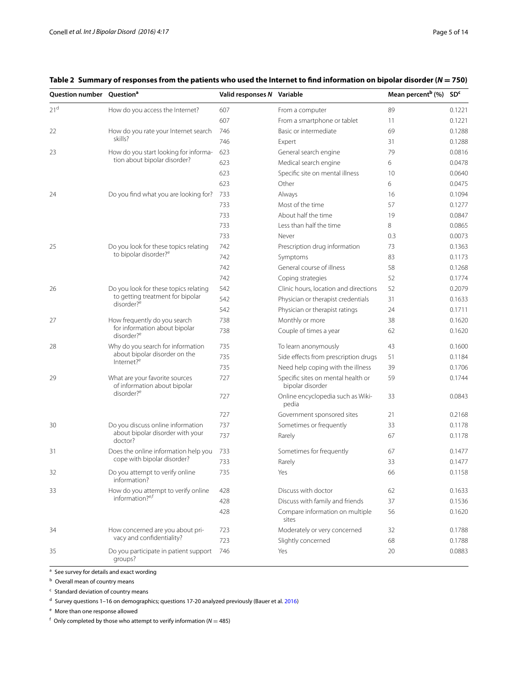| Question number Question <sup>a</sup> |                                                                                          | Valid responses N Variable |                                                        | Mean percent <sup>b</sup> (%) SD <sup>c</sup> |        |
|---------------------------------------|------------------------------------------------------------------------------------------|----------------------------|--------------------------------------------------------|-----------------------------------------------|--------|
| 21 <sup>d</sup>                       | How do you access the Internet?                                                          | 607                        | From a computer                                        | 89                                            | 0.1221 |
|                                       |                                                                                          | 607                        | From a smartphone or tablet                            | 11                                            | 0.1221 |
| 22                                    | How do you rate your Internet search                                                     | 746                        | Basic or intermediate                                  | 69                                            | 0.1288 |
|                                       | skills?                                                                                  | 746                        | Expert                                                 | 31                                            | 0.1288 |
| 23                                    | How do you start looking for informa-                                                    | 623                        | General search engine                                  | 79                                            | 0.0816 |
|                                       | tion about bipolar disorder?                                                             | 623                        | Medical search engine                                  | 6                                             | 0.0478 |
|                                       |                                                                                          | 623                        | Specific site on mental illness                        | 10                                            | 0.0640 |
|                                       |                                                                                          | 623                        | Other                                                  | 6                                             | 0.0475 |
| 24                                    | Do you find what you are looking for?                                                    | 733                        | Always                                                 | 16                                            | 0.1094 |
|                                       |                                                                                          | 733                        | Most of the time                                       | 57                                            | 0.1277 |
|                                       |                                                                                          | 733                        | About half the time                                    | 19                                            | 0.0847 |
|                                       |                                                                                          | 733                        | Less than half the time                                | 8                                             | 0.0865 |
|                                       |                                                                                          | 733                        | Never                                                  | 0.3                                           | 0.0073 |
| 25                                    | Do you look for these topics relating                                                    | 742                        | Prescription drug information                          | 73                                            | 0.1363 |
|                                       | to bipolar disorder? <sup>e</sup>                                                        | 742                        | Symptoms                                               | 83                                            | 0.1173 |
|                                       |                                                                                          | 742                        | General course of illness                              | 58                                            | 0.1268 |
|                                       |                                                                                          | 742                        | Coping strategies                                      | 52                                            | 0.1774 |
| 26                                    | Do you look for these topics relating<br>to getting treatment for bipolar                | 542                        | Clinic hours, location and directions                  | 52                                            | 0.2079 |
|                                       |                                                                                          | 542                        | Physician or therapist credentials                     | 31                                            | 0.1633 |
|                                       | disorder? <sup>e</sup>                                                                   | 542                        | Physician or therapist ratings                         | 24                                            | 0.1711 |
| 27                                    | How frequently do you search                                                             | 738                        | Monthly or more                                        | 38                                            | 0.1620 |
|                                       | for information about bipolar<br>disorder? <sup>e</sup>                                  | 738                        | Couple of times a year                                 | 62                                            | 0.1620 |
| 28                                    | Why do you search for information                                                        | 735                        | To learn anonymously                                   | 43                                            | 0.1600 |
| Internet? <sup>e</sup>                | about bipolar disorder on the                                                            | 735                        | Side effects from prescription drugs                   | 51                                            | 0.1184 |
|                                       |                                                                                          | 735                        | Need help coping with the illness                      | 39                                            | 0.1706 |
| 29                                    | What are your favorite sources<br>of information about bipolar<br>disorder? <sup>e</sup> | 727                        | Specific sites on mental health or<br>bipolar disorder | 59                                            | 0.1744 |
|                                       |                                                                                          | 727                        | Online encyclopedia such as Wiki-<br>pedia             | 33                                            | 0.0843 |
|                                       |                                                                                          | 727                        | Government sponsored sites                             | 21                                            | 0.2168 |
| 30                                    | Do you discuss online information                                                        | 737                        | Sometimes or frequently                                | 33                                            | 0.1178 |
|                                       | about bipolar disorder with your<br>doctor?                                              | 737                        | Rarely                                                 | 67                                            | 0.1178 |
| 31                                    | Does the online information help you                                                     | 733                        | Sometimes for frequently                               | 67                                            | 0.1477 |
|                                       | cope with bipolar disorder?                                                              | 733                        | Rarely                                                 | 33                                            | 0.1477 |
| 32                                    | Do you attempt to verify online<br>information?                                          | 735                        | Yes                                                    | 66                                            | 0.1158 |
| 33                                    | How do you attempt to verify online<br>information? <sup>e,f</sup>                       | 428                        | Discuss with doctor                                    | 62                                            | 0.1633 |
|                                       |                                                                                          | 428                        | Discuss with family and friends                        | 37                                            | 0.1536 |
|                                       |                                                                                          | 428                        | Compare information on multiple<br>sites               | 56                                            | 0.1620 |
| 34                                    | How concerned are you about pri-                                                         | 723                        | Moderately or very concerned                           | 32                                            | 0.1788 |
|                                       | vacy and confidentiality?                                                                | 723                        | Slightly concerned                                     | 68                                            | 0.1788 |
| 35                                    | Do you participate in patient support<br>groups?                                         | 746                        | Yes                                                    | 20                                            | 0.0883 |

<span id="page-4-0"></span>**Table 2 Summary of responses from the patients who used the Internet to find information on bipolar disorder (***N* **= 750)**

a See survey for details and exact wording

**b** Overall mean of country means

 $c$  Standard deviation of country means

<sup>d</sup> Survey questions 1–16 on demographics; questions 17-20 analyzed previously (Bauer et al. [2016\)](#page-10-0)

<sup>e</sup> More than one response allowed

 $f$  Only completed by those who attempt to verify information ( $N = 485$ )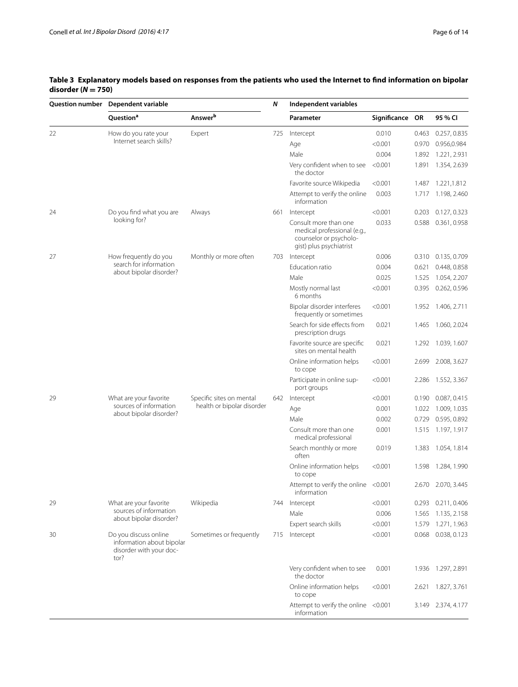| <b>Question number</b> | Dependent variable                                                                    |                                                        | N   | Independent variables                                                                                     |                 |       |                    |
|------------------------|---------------------------------------------------------------------------------------|--------------------------------------------------------|-----|-----------------------------------------------------------------------------------------------------------|-----------------|-------|--------------------|
|                        | Question <sup>a</sup>                                                                 | Answerb                                                |     | Parameter                                                                                                 | Significance OR |       | 95 % CI            |
| 22                     | How do you rate your                                                                  | Expert                                                 | 725 | Intercept                                                                                                 | 0.010           | 0.463 | 0.257, 0.835       |
|                        | Internet search skills?                                                               |                                                        |     | Age                                                                                                       | < 0.001         | 0.970 | 0.956,0.984        |
|                        |                                                                                       |                                                        |     | Male                                                                                                      | 0.004           | 1.892 | 1.221, 2.931       |
|                        |                                                                                       |                                                        |     | Very confident when to see<br>the doctor                                                                  | < 0.001         | 1.891 | 1.354, 2.639       |
|                        |                                                                                       |                                                        |     | Favorite source Wikipedia                                                                                 | < 0.001         | 1.487 | 1.221,1.812        |
|                        |                                                                                       |                                                        |     | Attempt to verify the online<br>information                                                               | 0.003           | 1.717 | 1.198, 2.460       |
| 24                     | Do you find what you are                                                              | Always                                                 | 661 | Intercept                                                                                                 | < 0.001         | 0.203 | 0.127, 0.323       |
|                        | looking for?                                                                          |                                                        |     | Consult more than one<br>medical professional (e.g.,<br>counselor or psycholo-<br>gist) plus psychiatrist | 0.033           | 0.588 | 0.361, 0.958       |
| 27                     | How frequently do you<br>search for information<br>about bipolar disorder?            | Monthly or more often                                  | 703 | Intercept                                                                                                 | 0.006           | 0.310 | 0.135, 0.709       |
|                        |                                                                                       |                                                        |     | Education ratio                                                                                           | 0.004           | 0.621 | 0.448, 0.858       |
|                        |                                                                                       |                                                        |     | Male                                                                                                      | 0.025           | 1.525 | 1.054, 2.207       |
|                        |                                                                                       |                                                        |     | Mostly normal last<br>6 months                                                                            | < 0.001         | 0.395 | 0.262, 0.596       |
|                        |                                                                                       |                                                        |     | Bipolar disorder interferes<br>frequently or sometimes                                                    | < 0.001         | 1.952 | 1.406, 2.711       |
|                        |                                                                                       |                                                        |     | Search for side effects from<br>prescription drugs                                                        | 0.021           | 1.465 | 1.060, 2.024       |
|                        |                                                                                       |                                                        |     | Favorite source are specific<br>sites on mental health                                                    | 0.021           | 1.292 | 1.039, 1.607       |
|                        |                                                                                       |                                                        |     | Online information helps<br>to cope                                                                       | < 0.001         | 2.699 | 2.008, 3.627       |
|                        |                                                                                       |                                                        |     | Participate in online sup-<br>port groups                                                                 | < 0.001         | 2.286 | 1.552, 3.367       |
| 29                     | What are your favorite<br>sources of information<br>about bipolar disorder?           | Specific sites on mental<br>health or bipolar disorder | 642 | Intercept                                                                                                 | < 0.001         | 0.190 | 0.087, 0.415       |
|                        |                                                                                       |                                                        |     | Age                                                                                                       | 0.001           | 1.022 | 1.009, 1.035       |
|                        |                                                                                       |                                                        |     | Male                                                                                                      | 0.002           | 0.729 | 0.595, 0.892       |
|                        |                                                                                       |                                                        |     | Consult more than one<br>medical professional                                                             | 0.001           | 1.515 | 1.197, 1.917       |
|                        |                                                                                       |                                                        |     | Search monthly or more<br>often                                                                           | 0.019           | 1.383 | 1.054, 1.814       |
|                        |                                                                                       |                                                        |     | Online information helps<br>to cope                                                                       | < 0.001         | 1.598 | 1.284, 1.990       |
|                        |                                                                                       |                                                        |     | Attempt to verify the online <0.001<br>information                                                        |                 |       | 2.670 2.070, 3.445 |
| 29                     | What are your favorite<br>sources of information<br>about bipolar disorder?           | Wikipedia                                              | 744 | Intercept                                                                                                 | < 0.001         | 0.293 | 0.211, 0.406       |
|                        |                                                                                       |                                                        |     | Male                                                                                                      | 0.006           | 1.565 | 1.135, 2.158       |
|                        |                                                                                       |                                                        |     | Expert search skills                                                                                      | < 0.001         | 1.579 | 1.271, 1.963       |
| 30                     | Do you discuss online<br>information about bipolar<br>disorder with your doc-<br>tor? | Sometimes or frequently                                | 715 | Intercept                                                                                                 | < 0.001         | 0.068 | 0.038, 0.123       |
|                        |                                                                                       |                                                        |     | Very confident when to see<br>the doctor                                                                  | 0.001           | 1.936 | 1.297, 2.891       |
|                        |                                                                                       |                                                        |     | Online information helps<br>to cope                                                                       | < 0.001         | 2.621 | 1.827, 3.761       |
|                        |                                                                                       |                                                        |     | Attempt to verify the online <0.001<br>information                                                        |                 | 3.149 | 2.374, 4.177       |

# <span id="page-5-0"></span>**Table 3 Explanatory models based on responses from the patients who used the Internet to find information on bipolar**   $\frac{\text{disorder (}N = 750)}{\text{Question number} - \text{De}}$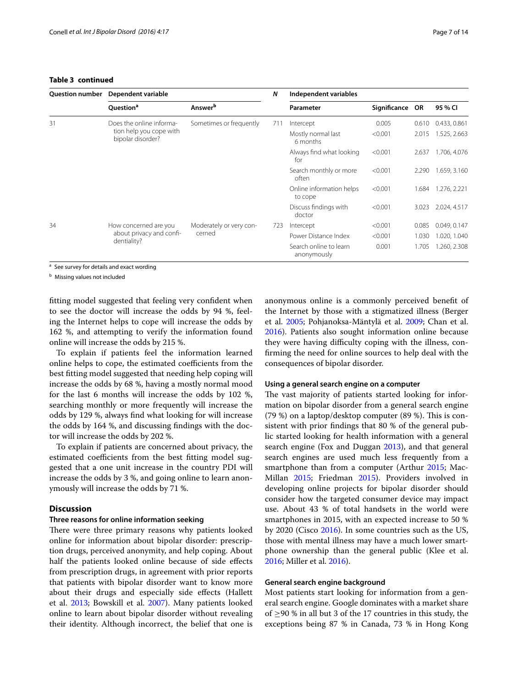#### **Table 3 continued**

| <b>Question number</b> | Dependent variable                                                       |                                   | N   | Independent variables                 |                 |       |              |
|------------------------|--------------------------------------------------------------------------|-----------------------------------|-----|---------------------------------------|-----------------|-------|--------------|
|                        | Question <sup>a</sup>                                                    | <b>Answer</b> <sup>b</sup>        |     | Parameter                             | Significance OR |       | 95 % CI      |
| 31                     | Does the online informa-<br>tion help you cope with<br>bipolar disorder? | Sometimes or frequently           | 711 | Intercept                             | 0.005           | 0.610 | 0.433, 0.861 |
|                        |                                                                          |                                   |     | Mostly normal last<br>6 months        | < 0.001         | 2.015 | 1.525, 2.663 |
|                        |                                                                          |                                   |     | Always find what looking<br>for       | < 0.001         | 2.637 | 1.706, 4.076 |
|                        |                                                                          |                                   |     | Search monthly or more<br>often       | < 0.001         | 2.290 | 1.659, 3.160 |
|                        |                                                                          |                                   |     | Online information helps<br>to cope   | < 0.001         | 1.684 | 1.276, 2.221 |
|                        |                                                                          |                                   |     | Discuss findings with<br>doctor       | < 0.001         | 3.023 | 2.024, 4.517 |
| 34                     | How concerned are you<br>about privacy and confi-<br>dentiality?         | Moderately or very con-<br>cerned | 723 | Intercept                             | < 0.001         | 0.085 | 0.049, 0.147 |
|                        |                                                                          |                                   |     | Power Distance Index                  | < 0.001         | 1.030 | 1.020, 1.040 |
|                        |                                                                          |                                   |     | Search online to learn<br>anonymously | 0.001           | 1.705 | 1.260, 2.308 |

<sup>a</sup> See survey for details and exact wording

<sup>b</sup> Missing values not included

fitting model suggested that feeling very confident when to see the doctor will increase the odds by 94 %, feeling the Internet helps to cope will increase the odds by 162 %, and attempting to verify the information found online will increase the odds by 215 %.

To explain if patients feel the information learned online helps to cope, the estimated coefficients from the best fitting model suggested that needing help coping will increase the odds by 68 %, having a mostly normal mood for the last 6 months will increase the odds by 102 %, searching monthly or more frequently will increase the odds by 129 %, always find what looking for will increase the odds by 164 %, and discussing findings with the doctor will increase the odds by 202 %.

To explain if patients are concerned about privacy, the estimated coefficients from the best fitting model suggested that a one unit increase in the country PDI will increase the odds by 3 %, and going online to learn anonymously will increase the odds by 71 %.

#### **Discussion**

#### **Three reasons for online information seeking**

There were three primary reasons why patients looked online for information about bipolar disorder: prescription drugs, perceived anonymity, and help coping. About half the patients looked online because of side effects from prescription drugs, in agreement with prior reports that patients with bipolar disorder want to know more about their drugs and especially side effects (Hallett et al. [2013](#page-11-1); Bowskill et al. [2007\)](#page-11-10). Many patients looked online to learn about bipolar disorder without revealing their identity. Although incorrect, the belief that one is anonymous online is a commonly perceived benefit of the Internet by those with a stigmatized illness (Berger et al. [2005;](#page-10-2) Pohjanoksa-Mäntylä et al. [2009](#page-12-4); Chan et al. [2016](#page-11-11)). Patients also sought information online because they were having difficulty coping with the illness, confirming the need for online sources to help deal with the consequences of bipolar disorder.

#### **Using a general search engine on a computer**

The vast majority of patients started looking for information on bipolar disorder from a general search engine (79 %) on a laptop/desktop computer (89 %). This is consistent with prior findings that 80 % of the general public started looking for health information with a general search engine (Fox and Duggan [2013](#page-11-12)), and that general search engines are used much less frequently from a smartphone than from a computer (Arthur [2015](#page-10-3); Mac-Millan [2015;](#page-12-5) Friedman [2015](#page-11-13)). Providers involved in developing online projects for bipolar disorder should consider how the targeted consumer device may impact use. About 43 % of total handsets in the world were smartphones in 2015, with an expected increase to 50 % by 2020 (Cisco [2016\)](#page-11-14). In some countries such as the US, those with mental illness may have a much lower smartphone ownership than the general public (Klee et al. [2016](#page-11-15); Miller et al. [2016\)](#page-12-6).

### **General search engine background**

Most patients start looking for information from a general search engine. Google dominates with a market share of  $\geq$ 90 % in all but 3 of the 17 countries in this study, the exceptions being 87 % in Canada, 73 % in Hong Kong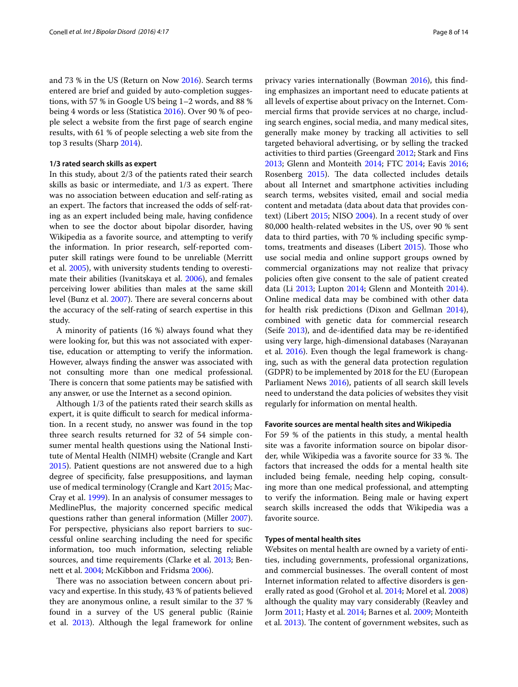and 73 % in the US (Return on Now [2016](#page-12-7)). Search terms entered are brief and guided by auto-completion suggestions, with 57 % in Google US being 1–2 words, and 88 % being 4 words or less (Statistica [2016](#page-12-8)). Over 90 % of people select a website from the first page of search engine results, with 61 % of people selecting a web site from the top 3 results (Sharp [2014](#page-12-9)).

#### **1/3 rated search skills as expert**

In this study, about 2/3 of the patients rated their search skills as basic or intermediate, and 1/3 as expert. There was no association between education and self-rating as an expert. The factors that increased the odds of self-rating as an expert included being male, having confidence when to see the doctor about bipolar disorder, having Wikipedia as a favorite source, and attempting to verify the information. In prior research, self-reported computer skill ratings were found to be unreliable (Merritt et al. [2005](#page-12-10)), with university students tending to overestimate their abilities (Ivanitskaya et al. [2006\)](#page-11-16), and females perceiving lower abilities than males at the same skill level (Bunz et al. [2007](#page-11-17)). There are several concerns about the accuracy of the self-rating of search expertise in this study.

A minority of patients (16 %) always found what they were looking for, but this was not associated with expertise, education or attempting to verify the information. However, always finding the answer was associated with not consulting more than one medical professional. There is concern that some patients may be satisfied with any answer, or use the Internet as a second opinion.

Although 1/3 of the patients rated their search skills as expert, it is quite difficult to search for medical information. In a recent study, no answer was found in the top three search results returned for 32 of 54 simple consumer mental health questions using the National Institute of Mental Health (NIMH) website (Crangle and Kart [2015](#page-11-18)). Patient questions are not answered due to a high degree of specificity, false presuppositions, and layman use of medical terminology (Crangle and Kart [2015;](#page-11-18) Mac-Cray et al. [1999\)](#page-12-11). In an analysis of consumer messages to MedlinePlus, the majority concerned specific medical questions rather than general information (Miller [2007](#page-12-12)). For perspective, physicians also report barriers to successful online searching including the need for specific information, too much information, selecting reliable sources, and time requirements (Clarke et al. [2013;](#page-11-19) Bennett et al. [2004;](#page-10-4) McKibbon and Fridsma [2006](#page-12-13)).

There was no association between concern about privacy and expertise. In this study, 43 % of patients believed they are anonymous online, a result similar to the 37 % found in a survey of the US general public (Rainie et al. [2013](#page-12-14)). Although the legal framework for online

privacy varies internationally (Bowman [2016](#page-10-5)), this finding emphasizes an important need to educate patients at all levels of expertise about privacy on the Internet. Commercial firms that provide services at no charge, including search engines, social media, and many medical sites, generally make money by tracking all activities to sell targeted behavioral advertising, or by selling the tracked activities to third parties (Greengard [2012;](#page-11-20) Stark and Fins [2013](#page-12-15); Glenn and Monteith [2014](#page-11-21); FTC [2014](#page-11-22); Eavis [2016](#page-11-23); Rosenberg [2015](#page-12-16)). The data collected includes details about all Internet and smartphone activities including search terms, websites visited, email and social media content and metadata (data about data that provides context) (Libert [2015](#page-12-17); NISO [2004\)](#page-12-18). In a recent study of over 80,000 health-related websites in the US, over 90 % sent data to third parties, with 70 % including specific symptoms, treatments and diseases (Libert [2015\)](#page-12-17). Those who use social media and online support groups owned by commercial organizations may not realize that privacy policies often give consent to the sale of patient created data (Li [2013](#page-12-19); Lupton [2014;](#page-12-20) Glenn and Monteith [2014](#page-11-21)). Online medical data may be combined with other data for health risk predictions (Dixon and Gellman [2014](#page-11-24)), combined with genetic data for commercial research (Seife [2013\)](#page-12-21), and de-identified data may be re-identified using very large, high-dimensional databases (Narayanan et al. [2016](#page-12-22)). Even though the legal framework is changing, such as with the general data protection regulation (GDPR) to be implemented by 2018 for the EU (European Parliament News [2016](#page-11-25)), patients of all search skill levels need to understand the data policies of websites they visit regularly for information on mental health.

#### **Favorite sources are mental health sites and Wikipedia**

For 59 % of the patients in this study, a mental health site was a favorite information source on bipolar disorder, while Wikipedia was a favorite source for 33 %. The factors that increased the odds for a mental health site included being female, needing help coping, consulting more than one medical professional, and attempting to verify the information. Being male or having expert search skills increased the odds that Wikipedia was a favorite source.

#### **Types of mental health sites**

Websites on mental health are owned by a variety of entities, including governments, professional organizations, and commercial businesses. The overall content of most Internet information related to affective disorders is generally rated as good (Grohol et al. [2014](#page-11-26); Morel et al. [2008](#page-12-23)) although the quality may vary considerably (Reavley and Jorm [2011](#page-12-24); Hasty et al. [2014](#page-11-27); Barnes et al. [2009;](#page-10-6) Monteith et al. [2013\)](#page-12-25). The content of government websites, such as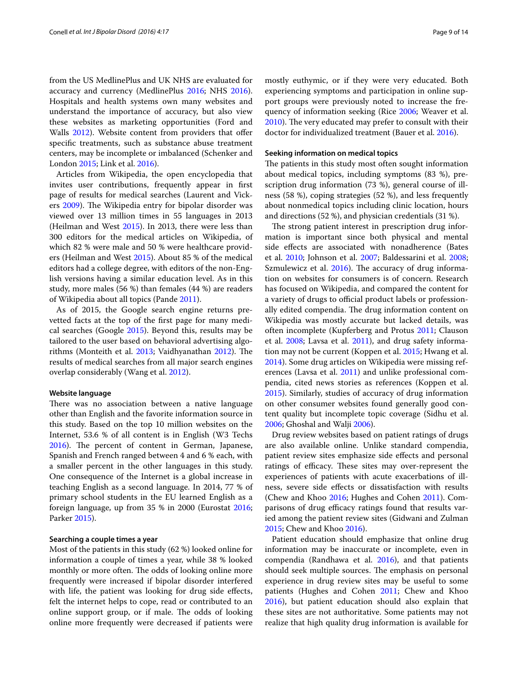from the US MedlinePlus and UK NHS are evaluated for accuracy and currency (MedlinePlus [2016;](#page-12-26) NHS [2016](#page-12-27)). Hospitals and health systems own many websites and understand the importance of accuracy, but also view these websites as marketing opportunities (Ford and Walls [2012](#page-11-28)). Website content from providers that offer specific treatments, such as substance abuse treatment centers, may be incomplete or imbalanced (Schenker and London [2015;](#page-12-28) Link et al. [2016](#page-12-29)).

Articles from Wikipedia, the open encyclopedia that invites user contributions, frequently appear in first page of results for medical searches (Laurent and Vickers [2009\)](#page-12-30). The Wikipedia entry for bipolar disorder was viewed over 13 million times in 55 languages in 2013 (Heilman and West [2015\)](#page-11-7). In 2013, there were less than 300 editors for the medical articles on Wikipedia, of which 82 % were male and 50 % were healthcare providers (Heilman and West [2015](#page-11-7)). About 85 % of the medical editors had a college degree, with editors of the non-English versions having a similar education level. As in this study, more males (56 %) than females (44 %) are readers of Wikipedia about all topics (Pande [2011](#page-12-31)).

As of 2015, the Google search engine returns prevetted facts at the top of the first page for many medical searches (Google [2015\)](#page-11-29). Beyond this, results may be tailored to the user based on behavioral advertising algorithms (Monteith et al. [2013](#page-12-25); Vaidhyanathan [2012](#page-13-1)). The results of medical searches from all major search engines overlap considerably (Wang et al. [2012\)](#page-13-2).

#### **Website language**

There was no association between a native language other than English and the favorite information source in this study. Based on the top 10 million websites on the Internet, 53.6 % of all content is in English (W3 Techs [2016](#page-13-3)). The percent of content in German, Japanese, Spanish and French ranged between 4 and 6 % each, with a smaller percent in the other languages in this study. One consequence of the Internet is a global increase in teaching English as a second language. In 2014, 77 % of primary school students in the EU learned English as a foreign language, up from 35 % in 2000 (Eurostat [2016](#page-11-30); Parker [2015](#page-12-32)).

#### **Searching a couple times a year**

Most of the patients in this study (62 %) looked online for information a couple of times a year, while 38 % looked monthly or more often. The odds of looking online more frequently were increased if bipolar disorder interfered with life, the patient was looking for drug side effects, felt the internet helps to cope, read or contributed to an online support group, or if male. The odds of looking online more frequently were decreased if patients were mostly euthymic, or if they were very educated. Both experiencing symptoms and participation in online support groups were previously noted to increase the frequency of information seeking (Rice [2006;](#page-12-33) Weaver et al. [2010](#page-13-4)). The very educated may prefer to consult with their doctor for individualized treatment (Bauer et al. [2016\)](#page-10-0).

#### **Seeking information on medical topics**

The patients in this study most often sought information about medical topics, including symptoms (83 %), prescription drug information (73 %), general course of illness (58 %), coping strategies (52 %), and less frequently about nonmedical topics including clinic location, hours and directions (52 %), and physician credentials (31 %).

The strong patient interest in prescription drug information is important since both physical and mental side effects are associated with nonadherence (Bates et al. [2010](#page-10-7); Johnson et al. [2007](#page-11-31); Baldessarini et al. [2008](#page-10-8); Szmulewicz et al. [2016\)](#page-12-34). The accuracy of drug information on websites for consumers is of concern. Research has focused on Wikipedia, and compared the content for a variety of drugs to official product labels or professionally edited compendia. The drug information content on Wikipedia was mostly accurate but lacked details, was often incomplete (Kupferberg and Protus [2011](#page-11-32); Clauson et al. [2008;](#page-11-33) Lavsa et al. [2011\)](#page-12-35), and drug safety information may not be current (Koppen et al. [2015](#page-11-34); Hwang et al. [2014](#page-11-35)). Some drug articles on Wikipedia were missing references (Lavsa et al. [2011](#page-12-35)) and unlike professional compendia, cited news stories as references (Koppen et al. [2015](#page-11-34)). Similarly, studies of accuracy of drug information on other consumer websites found generally good content quality but incomplete topic coverage (Sidhu et al. [2006](#page-12-36); Ghoshal and Walji [2006](#page-11-36)).

Drug review websites based on patient ratings of drugs are also available online. Unlike standard compendia, patient review sites emphasize side effects and personal ratings of efficacy. These sites may over-represent the experiences of patients with acute exacerbations of illness, severe side effects or dissatisfaction with results (Chew and Khoo [2016](#page-11-37); Hughes and Cohen [2011](#page-11-38)). Comparisons of drug efficacy ratings found that results varied among the patient review sites (Gidwani and Zulman [2015](#page-11-39); Chew and Khoo [2016\)](#page-11-37).

Patient education should emphasize that online drug information may be inaccurate or incomplete, even in compendia (Randhawa et al. [2016](#page-12-37)), and that patients should seek multiple sources. The emphasis on personal experience in drug review sites may be useful to some patients (Hughes and Cohen [2011](#page-11-38); Chew and Khoo [2016](#page-11-37)), but patient education should also explain that these sites are not authoritative. Some patients may not realize that high quality drug information is available for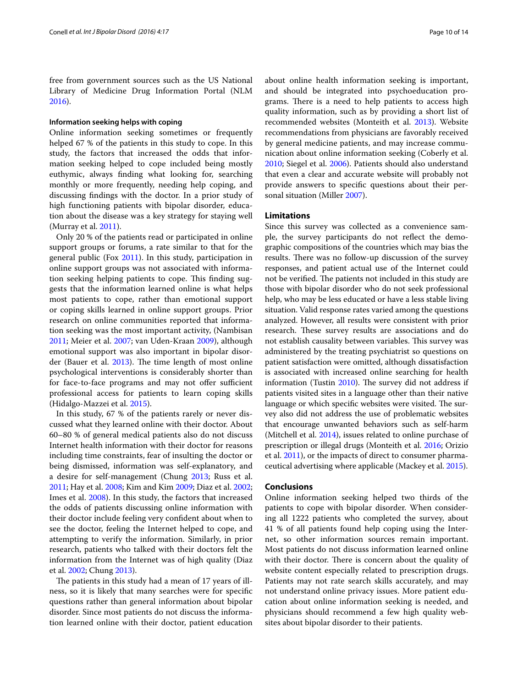free from government sources such as the US National Library of Medicine Drug Information Portal (NLM [2016](#page-12-38)).

#### **Information seeking helps with coping**

Online information seeking sometimes or frequently helped 67 % of the patients in this study to cope. In this study, the factors that increased the odds that information seeking helped to cope included being mostly euthymic, always finding what looking for, searching monthly or more frequently, needing help coping, and discussing findings with the doctor. In a prior study of high functioning patients with bipolar disorder, education about the disease was a key strategy for staying well (Murray et al. [2011](#page-12-39)).

Only 20 % of the patients read or participated in online support groups or forums, a rate similar to that for the general public (Fox [2011\)](#page-11-40). In this study, participation in online support groups was not associated with information seeking helping patients to cope. This finding suggests that the information learned online is what helps most patients to cope, rather than emotional support or coping skills learned in online support groups. Prior research on online communities reported that information seeking was the most important activity, (Nambisan [2011](#page-12-40); Meier et al. [2007;](#page-12-41) van Uden-Kraan [2009](#page-13-5)), although emotional support was also important in bipolar disorder (Bauer et al. [2013\)](#page-10-9). The time length of most online psychological interventions is considerably shorter than for face-to-face programs and may not offer sufficient professional access for patients to learn coping skills (Hidalgo-Mazzei et al. [2015](#page-11-41)).

In this study, 67 % of the patients rarely or never discussed what they learned online with their doctor. About 60–80 % of general medical patients also do not discuss Internet health information with their doctor for reasons including time constraints, fear of insulting the doctor or being dismissed, information was self-explanatory, and a desire for self-management (Chung [2013;](#page-11-42) Russ et al. [2011](#page-12-42); Hay et al. [2008;](#page-11-43) Kim and Kim [2009;](#page-11-44) Diaz et al. [2002](#page-11-45); Imes et al. [2008\)](#page-11-46). In this study, the factors that increased the odds of patients discussing online information with their doctor include feeling very confident about when to see the doctor, feeling the Internet helped to cope, and attempting to verify the information. Similarly, in prior research, patients who talked with their doctors felt the information from the Internet was of high quality (Diaz et al. [2002;](#page-11-45) Chung [2013](#page-11-42)).

The patients in this study had a mean of 17 years of illness, so it is likely that many searches were for specific questions rather than general information about bipolar disorder. Since most patients do not discuss the information learned online with their doctor, patient education about online health information seeking is important, and should be integrated into psychoeducation programs. There is a need to help patients to access high quality information, such as by providing a short list of recommended websites (Monteith et al. [2013](#page-12-25)). Website recommendations from physicians are favorably received by general medicine patients, and may increase communication about online information seeking (Coberly et al. [2010](#page-11-47); Siegel et al. [2006\)](#page-12-43). Patients should also understand that even a clear and accurate website will probably not provide answers to specific questions about their personal situation (Miller [2007\)](#page-12-12).

#### **Limitations**

Since this survey was collected as a convenience sample, the survey participants do not reflect the demographic compositions of the countries which may bias the results. There was no follow-up discussion of the survey responses, and patient actual use of the Internet could not be verified. The patients not included in this study are those with bipolar disorder who do not seek professional help, who may be less educated or have a less stable living situation. Valid response rates varied among the questions analyzed. However, all results were consistent with prior research. These survey results are associations and do not establish causality between variables. This survey was administered by the treating psychiatrist so questions on patient satisfaction were omitted, although dissatisfaction is associated with increased online searching for health information (Tustin [2010\)](#page-12-44). The survey did not address if patients visited sites in a language other than their native language or which specific websites were visited. The survey also did not address the use of problematic websites that encourage unwanted behaviors such as self-harm (Mitchell et al. [2014\)](#page-12-45), issues related to online purchase of prescription or illegal drugs (Monteith et al. [2016](#page-12-46); Orizio et al. [2011\)](#page-12-47), or the impacts of direct to consumer pharmaceutical advertising where applicable (Mackey et al. [2015\)](#page-12-48).

#### **Conclusions**

Online information seeking helped two thirds of the patients to cope with bipolar disorder. When considering all 1222 patients who completed the survey, about 41 % of all patients found help coping using the Internet, so other information sources remain important. Most patients do not discuss information learned online with their doctor. There is concern about the quality of website content especially related to prescription drugs. Patients may not rate search skills accurately, and may not understand online privacy issues. More patient education about online information seeking is needed, and physicians should recommend a few high quality websites about bipolar disorder to their patients.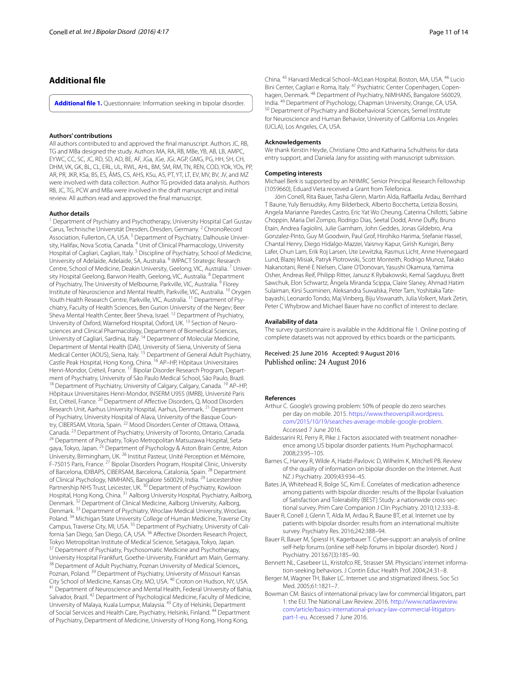## **Additional file**

<span id="page-10-1"></span>**[Additional file 1.](http://dx.doi.org/10.1186/s40345-016-0058-0)** Questionnaire: Information seeking in bipolar disorder.

#### **Authors' contributions**

All authors contributed to and approved the final manuscript. Authors JC, RB, TG and MBa designed the study. Authors MA, RA, RB, MBe, YB, AB, LB, AMPC, EYWC, CC, SC, JC, RD, SD, AD, BE, AF, JGa, JGe, JGi, AGP, GMG, PG, HH, SH, CH, DHM, VK, GK, BL, CL, ERL, UL, RWL, AHL, BM, SM, RM, TN, REN, COD, YOk, YOs, PP, AR, PR, JKR, KSa, BS, ES, ÂMS, CS, AHS, KSu, AS, PT, YT, LT, EV, MV, BV, JV, and MZ were involved with data collection. Author TG provided data analysis. Authors RB, JC, TG, PCW and MBa were involved in the draft manuscript and initial review. All authors read and approved the final manuscript.

#### **Author details**

<sup>1</sup> Department of Psychiatry and Psychotherapy, University Hospital Carl Gustav Carus, Technische Universität Dresden, Dresden, Germany. <sup>2</sup> ChronoRecord Association, Fullerton, CA, USA.<sup>3</sup> Department of Psychiatry, Dalhousie University, Halifax, Nova Scotia, Canada. <sup>4</sup> Unit of Clinical Pharmacology, University Hospital of Cagliari, Cagliari, Italy.<sup>5</sup> Discipline of Psychiatry, School of Medicine, University of Adelaide, Adelaide, SA, Australia. 6 IMPACT Strategic Research Centre, School of Medicine, Deakin University, Geelong, VIC, Australia.<sup>7</sup> University Hospital Geelong, Barwon Health, Geelong, VIC, Australia. <sup>8</sup> Department of Psychiatry, The University of Melbourne, Parkville, VIC, Australia.<sup>9</sup> Florey Institute of Neuroscience and Mental Health, Parkville, VIC, Australia. 10 Orygen Youth Health Research Centre, Parkville, VIC, Australia.<sup>11</sup> Department of Psychiatry, Faculty of Health Sciences, Ben Gurion University of the Negev; Beer Sheva Mental Health Center, Beer Sheva, Israel. 12 Department of Psychiatry, University of Oxford, Warneford Hospital, Oxford, UK.<sup>13</sup> Section of Neurosciences and Clinical Pharmacology, Department of Biomedical Sciences,<br>University of Cagliari, Sardinia, Italy. <sup>14</sup> Department of Molecular Medicine, Department of Mental Health (DAI), University of Siena, University of Siena Medical Center (AOUS), Siena, Italy. 15 Department of General Adult Psychiatry, Castle Peak Hospital, Hong Kong, China. 16 AP–HP, Hôpitaux Universitaires Henri-Mondor, Créteil, France. <sup>17</sup> Bipolar Disorder Research Program, Department of Psychiatry, University of São Paulo Medical School, São Paulo, Brazil.<br><sup>18</sup> Department of Psychiatry, University of Calgary, Calgary, Canada. <sup>19</sup> AP–HP, Hôpitaux Universitaires Henri-Mondor, INSERM U955 (IMRB), Université Paris Est, Créteil, France. 20 Department of Affective Disorders, Q, Mood Disorders Research Unit, Aarhus University Hospital, Aarhus, Denmark. 21 Department of Psychiatry, University Hospital of Alava, University of the Basque Country, CIBERSAM, Vitoria, Spain.<sup>22</sup> Mood Disorders Center of Ottawa, Ottawa, Canada.<sup>23</sup> Department of Psychiatry, University of Toronto, Ontario, Canada. <sup>24</sup> Department of Psychiatry, Tokyo Metropolitan Matsuzawa Hospital, Setagaya, Tokyo, Japan. <sup>25</sup> Department of Psychology & Aston Brain Centre, Aston University, Birmingham, UK. 26 Institut Pasteur, Unité Perception et Mémoire, F-75015 Paris, France. <sup>27</sup> Bipolar Disorders Program, Hospital Clinic, University of Barcelona, IDIBAPS, CIBERSAM, Barcelona, Catalonia, Spain. 28 Department of Clinical Psychology, NIMHANS, Bangalore 560029, India. 29 Leicestershire Partnership NHS Trust, Leicester, UK.<sup>30</sup> Department of Psychiatry, Kowloon Hospital, Hong Kong, China. 31 Aalborg University Hospital, Psychiatry, Aalborg, Denmark. <sup>32</sup> Department of Clinical Medicine, Aalborg University, Aalborg, Denmark. 33 Department of Psychiatry, Wroclaw Medical University, Wroclaw, Poland.<sup>34</sup> Michigan State University College of Human Medicine, Traverse City Campus, Traverse City, MI, USA. <sup>35</sup> Department of Psychiatry, University of California San Diego, San Diego, CA, USA. 36 Affective Disorders Research Project, Tokyo Metropolitan Institute of Medical Science, Setagaya, Tokyo, Japan.<br><sup>37</sup> Department of Psychiatry, Psychosomatic Medicine and Psychotherapy, University Hospital Frankfurt, Goethe-University, Frankfurt am Main, Germany.<br><sup>38</sup> Department of Adult Psychiatry, Poznan University of Medical Sciences,, Poznan, Poland. <sup>39</sup> Department of Psychiatry, University of Missouri Kansas<br>City School of Medicine, Kansas City, MO, USA. <sup>40</sup> Croton on Hudson, NY, USA. <sup>41</sup> Department of Neuroscience and Mental Health, Federal University of Bahia, Salvador, Brazil. 42 Department of Psychological Medicine, Faculty of Medicine, University of Malaya, Kuala Lumpur, Malaysia. 43 City of Helsinki, Department of Social Services and Health Care, Psychiatry, Helsinki, Finland. 44 Department of Psychiatry, Department of Medicine, University of Hong Kong, Hong Kong,

China. 45 Harvard Medical School–McLean Hospital, Boston, MA, USA. 46 Lucio Bini Center, Cagliari e Roma, Italy. <sup>47</sup> Psychiatric Center Copenhagen, Copenhagen, Denmark. <sup>48</sup> Department of Psychiatry, NIMHANS, Bangalore 560029, India. <sup>49</sup> Department of Psychology, Chapman University, Orange, CA, USA. <sup>50</sup> Department of Psychiatry and Biobehavioral Sciences, Semel Institute for Neuroscience and Human Behavior, University of California Los Angeles (UCLA), Los Angeles, CA, USA.

#### **Acknowledgements**

We thank Kerstin Heyde, Christiane Otto and Katharina Schultheiss for data entry support, and Daniela Jany for assisting with manuscript submission.

#### **Competing interests**

Michael Berk is supported by an NHMRC Senior Principal Research Fellowship (1059660), Eduard Vieta received a Grant from Telefonica.

Jörn Conell, Rita Bauer, Tasha Glenn, Martin Alda, Raffaella Ardau, Bernhard T Baune, Yuly Bersudsky, Amy Bilderbeck, Alberto Bocchetta, Letizia Bossini, Angela Marianne Paredes Castro, Eric Yat Wo Cheung, Caterina Chillotti, Sabine Choppin, Maria Del Zompo, Rodrigo Dias, Seetal Dodd, Anne Duffy, Bruno Etain, Andrea Fagiolini, Julie Garnham, John Geddes, Jonas Gildebro, Ana Gonzalez-Pinto, Guy M Goodwin, Paul Grof, Hirohiko Harima, Stefanie Hassel, Chantal Henry, Diego Hidalgo-Mazzei, Vaisnvy Kapur, Girish Kunigiri, Beny Lafer, Chun Lam, Erik Roj Larsen, Ute Lewitzka, Rasmus Licht, Anne Hvenegaard Lund, Blazej Misiak, Patryk Piotrowski, Scott Monteith, Rodrigo Munoz, Takako Nakanotani, René E Nielsen, Claire O'Donovan, Yasushi Okamura, Yamima Osher, Andreas Reif, Philipp Ritter, Janusz K Rybakowski, Kemal Sagduyu, Brett Sawchuk, Elon Schwartz, Ângela Miranda Scippa, Claire Slaney, Ahmad Hatim Sulaiman, Kirsi Suominen, Aleksandra Suwalska, Peter Tam, Yoshitaka Tatebayashi, Leonardo Tondo, Maj Vinberg, Biju Viswanath, Julia Volkert, Mark Zetin, Peter C Whybrow and Michael Bauer have no conflict of interest to declare.

#### **Availability of data**

The survey questionnaire is available in the Additional file [1.](#page-10-1) Online posting of complete datasets was not approved by ethics boards or the participants.

Received: 25 June 2016 Accepted: 9 August 2016 Published online: 24 August 2016

#### **References**

- <span id="page-10-3"></span>Arthur C. Google's growing problem: 50% of people do zero searches per day on mobile. 2015. [https://www.theoverspill.wordpress.](https://www.theoverspill.wordpress.com/2015/10/19/searches-average-mobile-google-problem) [com/2015/10/19/searches-average-mobile-google-problem.](https://www.theoverspill.wordpress.com/2015/10/19/searches-average-mobile-google-problem) Accessed 7 June 2016.
- <span id="page-10-8"></span>Baldessarini RJ, Perry R, Pike J. Factors associated with treatment nonadherence among US bipolar disorder patients. Hum Psychopharmacol. 2008;23:95–105.
- <span id="page-10-6"></span>Barnes C, Harvey R, Wilde A, Hadzi-Pavlovic D, Wilhelm K, Mitchell PB. Review of the quality of information on bipolar disorder on the Internet. Aust NZ J Psychiatry. 2009;43:934–45.
- <span id="page-10-7"></span>Bates JA, Whitehead R, Bolge SC, Kim E. Correlates of medication adherence among patients with bipolar disorder: results of the Bipolar Evaluation of Satisfaction and Tolerability (BEST) Study: a nationwide cross-sec‑ tional survey. Prim Care Companion J Clin Psychiatry. 2010;12:333–8.
- <span id="page-10-0"></span>Bauer R, Conell J, Glenn T, Alda M, Ardau R, Baune BT, et al. Internet use by patients with bipolar disorder: results from an international multisite survey. Psychiatry Res. 2016;242:388–94.
- <span id="page-10-9"></span>Bauer R, Bauer M, Spiessl H, Kagerbauer T. Cyber-support: an analysis of online self-help forums (online self-help forums in bipolar disorder). Nord J Psychiatry. 2013;67(3):185–90.
- <span id="page-10-4"></span>Bennett NL, Casebeer LL, Kristofco RE, Strasser SM. Physicians' internet information-seeking behaviors. J Contin Educ Health Prof. 2004;24:31–8.
- <span id="page-10-2"></span>Berger M, Wagner TH, Baker LC. Internet use and stigmatized illness. Soc Sci Med. 2005;61:1821–7.
- <span id="page-10-5"></span>Bowman CM. Basics of international privacy law for commercial litigators, part 1: the EU. The National Law Review. 2016. [http://www.natlawreview.](http://www.natlawreview.com/article/basics-international-privacy-law-commercial-litigators-part-1-eu) [com/article/basics-international-privacy-law-commercial-litigators](http://www.natlawreview.com/article/basics-international-privacy-law-commercial-litigators-part-1-eu)[part-1-eu](http://www.natlawreview.com/article/basics-international-privacy-law-commercial-litigators-part-1-eu). Accessed 7 June 2016.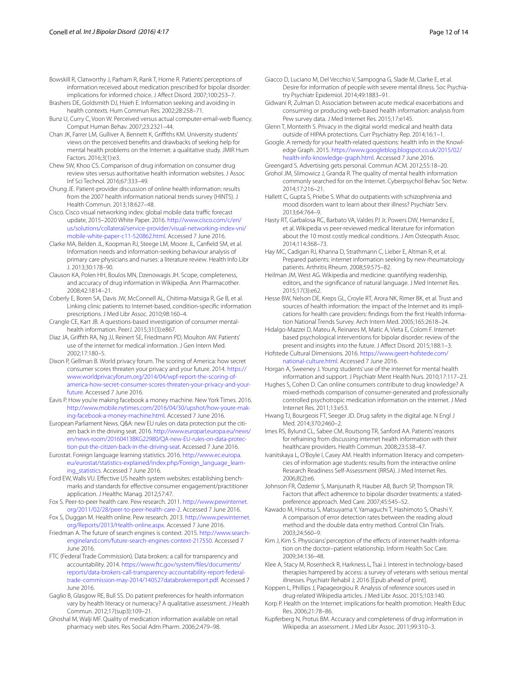<span id="page-11-10"></span>Bowskill R, Clatworthy J, Parham R, Rank T, Horne R. Patients' perceptions of information received about medication prescribed for bipolar disorder: implications for informed choice. J Affect Disord. 2007;100:253–7.

<span id="page-11-0"></span>Brashers DE, Goldsmith DJ, Hsieh E. Information seeking and avoiding in health contexts. Hum Commun Res. 2002;28:258–71.

<span id="page-11-17"></span>Bunz U, Curry C, Voon W. Perceived versus actual computer-email-web fluency. Comput Human Behav. 2007;23:2321–44.

<span id="page-11-11"></span>Chan JK, Farrer LM, Gulliver A, Bennett K, Griffiths KM. University students' views on the perceived benefits and drawbacks of seeking help for mental health problems on the Internet: a qualitative study. JMIR Hum Factors. 2016;3(1):e3.

<span id="page-11-37"></span>Chew SW, Khoo CS. Comparison of drug information on consumer drug review sites versus authoritative health information websites. J Assoc Inf Sci Technol. 2016;67:333–49.

<span id="page-11-42"></span>Chung JE. Patient-provider discussion of online health information: results from the 2007 health information national trends survey (HINTS). J Health Commun. 2013;18:627–48.

<span id="page-11-14"></span>Cisco. Cisco visual networking index: global mobile data traffic forecast update, 2015–2020 White Paper. 2016. [http://www.cisco.com/c/en/](http://www.cisco.com/c/en/us/solutions/collateral/service-provider/visual-networking-index-vni/mobile-white-paper-c11-520862.html) [us/solutions/collateral/service-provider/visual-networking-index-vni/](http://www.cisco.com/c/en/us/solutions/collateral/service-provider/visual-networking-index-vni/mobile-white-paper-c11-520862.html) [mobile-white-paper-c11-520862.html.](http://www.cisco.com/c/en/us/solutions/collateral/service-provider/visual-networking-index-vni/mobile-white-paper-c11-520862.html) Accessed 7 June 2016.

<span id="page-11-19"></span>Clarke MA, Belden JL, Koopman RJ, Steege LM, Moore JL, Canfield SM, et al. Information needs and information-seeking behaviour analysis of primary care physicians and nurses: a literature review. Health Info Libr J. 2013;30:178–90.

<span id="page-11-33"></span>Clauson KA, Polen HH, Boulos MN, Dzenowagis JH. Scope, completeness, and accuracy of drug information in Wikipedia. Ann Pharmacother. 2008;42:1814–21.

<span id="page-11-47"></span>Coberly E, Boren SA, Davis JW, McConnell AL, Chitima-Matsiga R, Ge B, et al. Linking clinic patients to Internet-based, condition-specific information prescriptions. J Med Libr Assoc. 2010;98:160–4.

<span id="page-11-18"></span>Crangle CE, Kart JB. A questions-based investigation of consumer mentalhealth information. PeerJ. 2015;31(3):e867.

<span id="page-11-45"></span>Diaz JA, Griffith RA, Ng JJ, Reinert SE, Friedmann PD, Moulton AW. Patients' use of the internet for medical information. J Gen Intern Med. 2002;17:180–5.

<span id="page-11-24"></span>Dixon P, Gellman B. World privacy forum. The scoring of America: how secret consumer scores threaten your privacy and your future. 2014. [https://](https://www.worldprivacyforum.org/2014/04/wpf-report-the-scoring-of-america-how-secret-consumer-scores-threaten-your-privacy-and-your-future) [www.worldprivacyforum.org/2014/04/wpf-report-the-scoring-of](https://www.worldprivacyforum.org/2014/04/wpf-report-the-scoring-of-america-how-secret-consumer-scores-threaten-your-privacy-and-your-future)[america-how-secret-consumer-scores-threaten-your-privacy-and-your](https://www.worldprivacyforum.org/2014/04/wpf-report-the-scoring-of-america-how-secret-consumer-scores-threaten-your-privacy-and-your-future)[future](https://www.worldprivacyforum.org/2014/04/wpf-report-the-scoring-of-america-how-secret-consumer-scores-threaten-your-privacy-and-your-future). Accessed 7 June 2016.

<span id="page-11-23"></span>Eavis P. How you're making facebook a money machine. New York Times. 2016. http://www.mobile.nytimes.com/2016/04/30/upshot/how-youre-mak[ing-facebook-a-money-machine.html](http://www.mobile.nytimes.com/2016/04/30/upshot/how-youre-making-facebook-a-money-machine.html). Accessed 7 June 2016.

<span id="page-11-25"></span>European Parliament News. Q&A: new EU rules on data protection put the citizen back in the driving seat. 2016. [http://www.europarl.europa.eu/news/](http://www.europarl.europa.eu/news/en/news-room/20160413BKG22980/QA-new-EU-rules-on-data-protection-put-the-citizen-back-in-the-driving-seat) en/news-room/20160413BKG22980/QA-new-EU-rules-on-data-protec[tion-put-the-citizen-back-in-the-driving-seat.](http://www.europarl.europa.eu/news/en/news-room/20160413BKG22980/QA-new-EU-rules-on-data-protection-put-the-citizen-back-in-the-driving-seat) Accessed 7 June 2016.

<span id="page-11-30"></span>Eurostat. Foreign language learning statistics. 2016. [http://www.ec.europa.](http://www.ec.europa.eu/eurostat/statistics-explained/index.php/Foreign_language_learning_statistics) eu/eurostat/statistics-explained/index.php/Foreign\_language\_learn[ing\\_statistics.](http://www.ec.europa.eu/eurostat/statistics-explained/index.php/Foreign_language_learning_statistics) Accessed 7 June 2016.

<span id="page-11-28"></span>Ford EW, Walls VU. Effective US health system websites: establishing benchmarks and standards for effective consumer engagement/practitioner application. J Healthc Manag. 2012;57:47.

<span id="page-11-40"></span>Fox S. Peer-to-peer health care. Pew research. 2011. [http://www.pewinternet.](http://www.pewinternet.org/2011/02/28/peer-to-peer-health-care-2) [org/2011/02/28/peer-to-peer-health-care-2](http://www.pewinternet.org/2011/02/28/peer-to-peer-health-care-2). Accessed 7 June 2016.

<span id="page-11-12"></span>Fox S, Duggan M. Health online. Pew research. 2013. [http://www.pewinternet.](http://www.pewinternet.org/Reports/2013/Health-online.aspx) [org/Reports/2013/Health-online.aspx.](http://www.pewinternet.org/Reports/2013/Health-online.aspx) Accessed 7 June 2016.

<span id="page-11-13"></span>Friedman A. The future of search engines is context. 2015. http://www.search[engineland.com/future-search-engines-context-217550.](http://www.searchengineland.com/future-search-engines-context-217550) Accessed 7 June 2016.

<span id="page-11-22"></span>FTC (Federal Trade Commission). Data brokers: a call for transparency and accountability. 2014. [https://www.ftc.gov/system/files/documents/](https://www.ftc.gov/system/files/documents/reports/data-brokers-call-transparency-accountability-report-federal-trade-commission-may-2014/140527databrokerreport.pdf) [reports/data-brokers-call-transparency-accountability-report-federal](https://www.ftc.gov/system/files/documents/reports/data-brokers-call-transparency-accountability-report-federal-trade-commission-may-2014/140527databrokerreport.pdf)[trade-commission-may-2014/140527databrokerreport.pdf.](https://www.ftc.gov/system/files/documents/reports/data-brokers-call-transparency-accountability-report-federal-trade-commission-may-2014/140527databrokerreport.pdf) Accessed 7 June 2016.

<span id="page-11-3"></span>Gaglio B, Glasgow RE, Bull SS. Do patient preferences for health information vary by health literacy or numeracy? A qualitative assessment. J Health Commun. 2012;17(sup3):109–21.

<span id="page-11-36"></span>Ghoshal M, Walji MF. Quality of medication information available on retail pharmacy web sites. Res Social Adm Pharm. 2006;2:479–98.

<span id="page-11-2"></span>Giacco D, Luciano M, Del Vecchio V, Sampogna G, Slade M, Clarke E, et al. Desire for information of people with severe mental illness. Soc Psychiatry Psychiatr Epidemiol. 2014;49:1883–91.

<span id="page-11-39"></span>Gidwani R, Zulman D. Association between acute medical exacerbations and consuming or producing web-based health information: analysis from Pew survey data. J Med Internet Res. 2015;17:e145.

<span id="page-11-21"></span>Glenn T, Monteith S. Privacy in the digital world: medical and health data outside of HIPAA protections. Curr Psychiatry Rep. 2014;16:1–1.

<span id="page-11-29"></span>Google. A remedy for your health-related questions: health info in the Knowledge Graph. 2015. [https://www.googleblog.blogspot.co.uk/2015/02/](https://www.googleblog.blogspot.co.uk/2015/02/health-info-knowledge-graph.html) [health-info-knowledge-graph.html.](https://www.googleblog.blogspot.co.uk/2015/02/health-info-knowledge-graph.html) Accessed 7 June 2016.

<span id="page-11-20"></span>Greengard S. Advertising gets personal. Commun ACM. 2012;55:18–20.

<span id="page-11-26"></span>Grohol JM, Slimowicz J, Granda R. The quality of mental health information commonly searched for on the Internet. Cyberpsychol Behav Soc Netw. 2014;17:216–21.

<span id="page-11-1"></span>Hallett C, Gupta S, Priebe S. What do outpatients with schizophrenia and mood disorders want to learn about their illness? Psychiatr Serv. 2013;64:764–9.

<span id="page-11-27"></span>Hasty RT, Garbalosa RC, Barbato VA, Valdes PJ Jr, Powers DW, Hernandez E, et al. Wikipedia vs peer-reviewed medical literature for information about the 10 most costly medical conditions. J Am Osteopath Assoc. 2014;114:368–73.

<span id="page-11-43"></span>Hay MC, Cadigan RJ, Khanna D, Strathmann C, Lieber E, Altman R, et al. Prepared patients: internet information seeking by new rheumatology patients. Arthritis Rheum. 2008;59:575–82.

<span id="page-11-7"></span>Heilman JM, West AG. Wikipedia and medicine: quantifying readership, editors, and the significance of natural language. J Med Internet Res. 2015;17(3):e62.

<span id="page-11-4"></span>Hesse BW, Nelson DE, Kreps GL, Croyle RT, Arora NK, Rimer BK, et al. Trust and sources of health information: the impact of the Internet and its implications for health care providers: findings from the first Health Information National Trends Survey. Arch Intern Med. 2005;165:2618–24.

<span id="page-11-41"></span>Hidalgo-Mazzei D, Mateu A, Reinares M, Matic A, Vieta E, Colom F. Internetbased psychological interventions for bipolar disorder: review of the present and insights into the future. J Affect Disord. 2015;188:1–3.

<span id="page-11-9"></span>Hofstede Cultural Dimensions. 2016. [https://www.geert-hofstede.com/](https://www.geert-hofstede.com/national-culture.html) [national-culture.html](https://www.geert-hofstede.com/national-culture.html). Accessed 7 June 2016.

<span id="page-11-5"></span>Horgan A, Sweeney J. Young students' use of the internet for mental health information and support. J Psychiatr Ment Health Nurs. 2010;17:117–23.

<span id="page-11-38"></span>Hughes S, Cohen D. Can online consumers contribute to drug knowledge? A mixed-methods comparison of consumer-generated and professionally controlled psychotropic medication information on the internet. J Med Internet Res. 2011;13:e53.

<span id="page-11-35"></span>Hwang TJ, Bourgeois FT, Seeger JD. Drug safety in the digital age. N Engl J Med. 2014;370:2460–2.

<span id="page-11-46"></span>Imes RS, Bylund CL, Sabee CM, Routsong TR, Sanford AA. Patients' reasons for refraining from discussing internet health information with their healthcare providers. Health Commun. 2008;23:538–47.

<span id="page-11-16"></span>Ivanitskaya L, O'Boyle I, Casey AM. Health information literacy and competencies of information age students: results from the interactive online Research Readiness Self-Assessment (RRSA). J Med Internet Res. 2006;8(2):e6.

<span id="page-11-31"></span>Johnson FR, Özdemir S, Manjunath R, Hauber AB, Burch SP, Thompson TR. Factors that affect adherence to bipolar disorder treatments: a statedpreference approach. Med Care. 2007;45:545–52.

<span id="page-11-8"></span>Kawado M, Hinotsu S, Matsuyama Y, Yamaguchi T, Hashimoto S, Ohashi Y. A comparison of error detection rates between the reading aloud method and the double data entry method. Control Clin Trials. 2003;24:560–9.

<span id="page-11-44"></span>Kim J, Kim S. Physicians' perception of the effects of internet health information on the doctor–patient relationship. Inform Health Soc Care. 2009;34:136–48.

<span id="page-11-15"></span>Klee A, Stacy M, Rosenheck R, Harkness L, Tsai J. Interest in technology-based therapies hampered by access: a survey of veterans with serious mental illnesses. Psychiatr Rehabil J; 2016 [Epub ahead of print].

<span id="page-11-34"></span>Koppen L, Phillips J, Papageorgiou R. Analysis of reference sources used in drug-related Wikipedia articles. J Med Libr Assoc. 2015;103:140.

<span id="page-11-6"></span>Korp P. Health on the Internet: implications for health promotion. Health Educ Res. 2006;21:78–86.

<span id="page-11-32"></span>Kupferberg N, Protus BM. Accuracy and completeness of drug information in Wikipedia: an assessment. J Med Libr Assoc. 2011;99:310–3.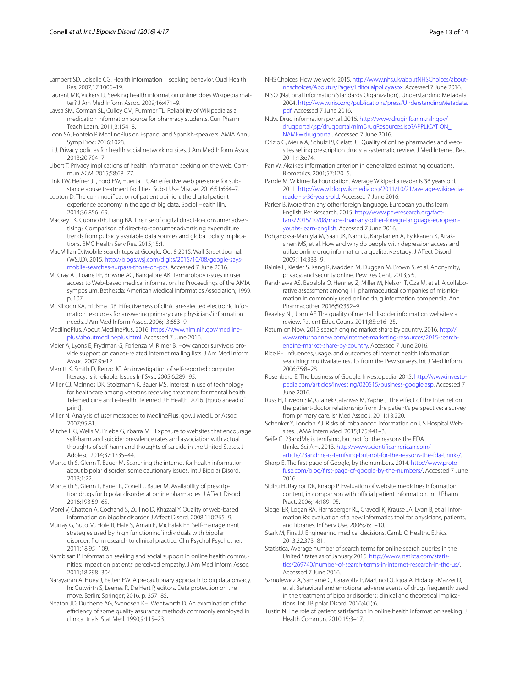<span id="page-12-30"></span><span id="page-12-0"></span>Laurent MR, Vickers TJ. Seeking health information online: does Wikipedia matter? J Am Med Inform Assoc. 2009;16:471–9.

<span id="page-12-35"></span>Lavsa SM, Corman SL, Culley CM, Pummer TL. Reliability of Wikipedia as a medication information source for pharmacy students. Curr Pharm Teach Learn. 2011;3:154–8.

- <span id="page-12-1"></span>Leon SA, Fontelo P. MedlinePlus en Espanol and Spanish-speakers. AMIA Annu Symp Proc; 2016:1028.
- <span id="page-12-19"></span>Li J. Privacy policies for health social networking sites. J Am Med Inform Assoc. 2013;20:704–7.
- <span id="page-12-17"></span>Libert T. Privacy implications of health information seeking on the web. Commun ACM. 2015;58:68–77.
- <span id="page-12-29"></span>Link TW, Hefner JL, Ford EW, Huerta TR. An effective web presence for substance abuse treatment facilities. Subst Use Misuse. 2016;51:664–7.

<span id="page-12-20"></span>Lupton D. The commodification of patient opinion: the digital patient experience economy in the age of big data. Sociol Health Illn. 2014;36:856–69.

<span id="page-12-48"></span>Mackey TK, Cuomo RE, Liang BA. The rise of digital direct-to-consumer advertising? Comparison of direct-to-consumer advertising expenditure trends from publicly available data sources and global policy implications. BMC Health Serv Res. 2015;15:1.

<span id="page-12-5"></span>MacMillan D. Mobile search tops at Google. Oct 8 2015. Wall Street Journal. (WSJ.D). 2015. [http://blogs.wsj.com/digits/2015/10/08/google-says](http://blogs.wsj.com/digits/2015/10/08/google-says-mobile-searches-surpass-those-on-pcs)[mobile-searches-surpass-those-on-pcs.](http://blogs.wsj.com/digits/2015/10/08/google-says-mobile-searches-surpass-those-on-pcs) Accessed 7 June 2016.

<span id="page-12-11"></span>McCray AT, Loane RF, Browne AC, Bangalore AK. Terminology issues in user access to Web-based medical information. In: Proceedings of the AMIA symposium. Bethesda: American Medical Informatics Association; 1999. p. 107.

<span id="page-12-13"></span>McKibbon KA, Fridsma DB. Effectiveness of clinician-selected electronic infor‑ mation resources for answering primary care physicians' information needs. J Am Med Inform Assoc. 2006;13:653–9.

<span id="page-12-26"></span>MedlinePlus. About MedlinePlus. 2016. [https://www.nlm.nih.gov/medline‑](https://www.nlm.nih.gov/medlineplus/aboutmedlineplus.html) [plus/aboutmedlineplus.html.](https://www.nlm.nih.gov/medlineplus/aboutmedlineplus.html) Accessed 7 June 2016.

<span id="page-12-41"></span>Meier A, Lyons E, Frydman G, Forlenza M, Rimer B. How cancer survivors provide support on cancer-related Internet mailing lists. J Am Med Inform Assoc. 2007;9:e12.

<span id="page-12-10"></span>Merritt K, Smith D, Renzo JC. An investigation of self-reported computer literacy: is it reliable. Issues Inf Syst. 2005;6:289–95.

<span id="page-12-6"></span>Miller CJ, McInnes DK, Stolzmann K, Bauer MS. Interest in use of technology for healthcare among veterans receiving treatment for mental health. Telemedicine and e-health. Telemed J E Health. 2016. [Epub ahead of print].

- <span id="page-12-12"></span>Miller N. Analysis of user messages to MedlinePlus. gov. J Med Libr Assoc. 2007;95:81.
- <span id="page-12-45"></span>Mitchell KJ, Wells M, Priebe G, Ybarra ML. Exposure to websites that encourage self-harm and suicide: prevalence rates and association with actual thoughts of self-harm and thoughts of suicide in the United States. J Adolesc. 2014;37:1335–44.

<span id="page-12-25"></span>Monteith S, Glenn T, Bauer M. Searching the internet for health information about bipolar disorder: some cautionary issues. Int J Bipolar Disord. 2013;1:22.

<span id="page-12-46"></span>Monteith S, Glenn T, Bauer R, Conell J, Bauer M. Availability of prescription drugs for bipolar disorder at online pharmacies. J Affect Disord. 2016;193:59–65.

<span id="page-12-23"></span>Morel V, Chatton A, Cochand S, Zullino D, Khazaal Y. Quality of web-based information on bipolar disorder. J Affect Disord. 2008;110:265–9.

<span id="page-12-39"></span>Murray G, Suto M, Hole R, Hale S, Amari E, Michalak EE. Self-management strategies used by 'high functioning' individuals with bipolar disorder: from research to clinical practice. Clin Psychol Psychother. 2011;18:95–109.

<span id="page-12-40"></span>Nambisan P. Information seeking and social support in online health communities: impact on patients' perceived empathy. J Am Med Inform Assoc. 2011;18:298–304.

<span id="page-12-22"></span>Narayanan A, Huey J, Felten EW. A precautionary approach to big data privacy. In: Gutwirth S, Leenes R, De Hert P, editors. Data protection on the move. Berlin: Springer; 2016. p. 357–85.

<span id="page-12-2"></span>Neaton JD, Duchene AG, Svendsen KH, Wentworth D. An examination of the efficiency of some quality assurance methods commonly employed in clinical trials. Stat Med. 1990;9:115–23.

<span id="page-12-27"></span>NHS Choices: How we work. 2015. http://www.nhs.uk/aboutNHSChoices/about[nhschoices/Aboutus/Pages/Editorialpolicy.aspx](http://www.nhs.uk/aboutNHSChoices/aboutnhschoices/Aboutus/Pages/Editorialpolicy.aspx). Accessed 7 June 2016.

- <span id="page-12-18"></span>NISO (National Information Standards Organization). Understanding Metadata 2004. [http://www.niso.org/publications/press/UnderstandingMetadata.](http://www.niso.org/publications/press/UnderstandingMetadata.pdf) [pdf](http://www.niso.org/publications/press/UnderstandingMetadata.pdf). Accessed 7 June 2016.
- <span id="page-12-38"></span>NLM. Drug information portal. 2016. [http://www.druginfo.nlm.nih.gov/](http://www.druginfo.nlm.nih.gov/drugportal/jsp/drugportal/nlmDrugResources.jsp%3fAPPLICATION_NAME%3ddrugportal) [drugportal/jsp/drugportal/nlmDrugResources.jsp?APPLICATION\\_](http://www.druginfo.nlm.nih.gov/drugportal/jsp/drugportal/nlmDrugResources.jsp%3fAPPLICATION_NAME%3ddrugportal) NAME=[drugportal.](http://www.druginfo.nlm.nih.gov/drugportal/jsp/drugportal/nlmDrugResources.jsp%3fAPPLICATION_NAME%3ddrugportal) Accessed 7 June 2016.

<span id="page-12-47"></span>Orizio G, Merla A, Schulz PJ, Gelatti U. Quality of online pharmacies and websites selling prescription drugs: a systematic review. J Med Internet Res. 2011;13:e74.

- <span id="page-12-3"></span>Pan W. Akaike's information criterion in generalized estimating equations. Biometrics. 2001;57:120–5.
- <span id="page-12-31"></span>Pande M. Wikimedia Foundation. Average Wikipedia reader is 36 years old. 2011. [http://www.blog.wikimedia.org/2011/10/21/average-wikipedia](http://www.blog.wikimedia.org/2011/10/21/average-wikipedia-reader-is-36-years-old)[reader-is-36-years-old.](http://www.blog.wikimedia.org/2011/10/21/average-wikipedia-reader-is-36-years-old) Accessed 7 June 2016.

<span id="page-12-32"></span>Parker B. More than any other foreign language, European youths learn English. Per Research. 2015. [http://www.pewresearch.org/fact](http://www.pewresearch.org/fact-tank/2015/10/08/more-than-any-other-foreign-language-european-youths-learn-english)[tank/2015/10/08/more-than-any-other-foreign-language-european](http://www.pewresearch.org/fact-tank/2015/10/08/more-than-any-other-foreign-language-european-youths-learn-english)[youths-learn-english.](http://www.pewresearch.org/fact-tank/2015/10/08/more-than-any-other-foreign-language-european-youths-learn-english) Accessed 7 June 2016.

<span id="page-12-4"></span>Pohjanoksa-Mäntylä M, Saari JK, Närhi U, Karjalainen A, Pylkkänen K, Airaksinen MS, et al. How and why do people with depression access and utilize online drug information: a qualitative study. J Affect Disord. 2009;114:333–9.

- <span id="page-12-14"></span>Rainie L, Kiesler S, Kang R, Madden M, Duggan M, Brown S, et al. Anonymity, privacy, and security online. Pew Res Cent. 2013;5:5.
- <span id="page-12-37"></span>Randhawa AS, Babalola O, Henney Z, Miller M, Nelson T, Oza M, et al. A collaborative assessment among 11 pharmaceutical companies of misinformation in commonly used online drug information compendia. Ann Pharmacother. 2016;50:352–9.

<span id="page-12-24"></span>Reavley NJ, Jorm AF. The quality of mental disorder information websites: a review. Patient Educ Couns. 2011;85:e16–25.

<span id="page-12-7"></span>Return on Now. 2015 search engine market share by country. 2016. [http://](http://www.returnonnow.com/internet-marketing-resources/2015-search-engine-market-share-by-country) [www.returnonnow.com/internet-marketing-resources/2015-search](http://www.returnonnow.com/internet-marketing-resources/2015-search-engine-market-share-by-country)[engine-market-share-by-country](http://www.returnonnow.com/internet-marketing-resources/2015-search-engine-market-share-by-country). Accessed 7 June 2016.

<span id="page-12-33"></span>Rice RE. Influences, usage, and outcomes of Internet health information searching: multivariate results from the Pew surveys. Int J Med Inform. 2006;75:8–28.

<span id="page-12-16"></span>Rosenberg E. The business of Google. Investopedia. 2015. [http://www.investo‑](http://www.investopedia.com/articles/investing/020515/business-google.asp) [pedia.com/articles/investing/020515/business-google.asp.](http://www.investopedia.com/articles/investing/020515/business-google.asp) Accessed 7 June 2016.

<span id="page-12-42"></span>Russ H, Giveon SM, Granek Catarivas M, Yaphe J. The effect of the Internet on the patient-doctor relationship from the patient's perspective: a survey from primary care. Isr Med Assoc J. 2011;13:220.

<span id="page-12-28"></span>Schenker Y, London AJ. Risks of imbalanced information on US Hospital Websites. JAMA Intern Med. 2015;175:441–3.

<span id="page-12-21"></span>Seife C. 23andMe is terrifying, but not for the reasons the FDA thinks. Sci Am. 2013. [http://www.scientificamerican.com/](http://www.scientificamerican.com/article/23andme-is-terrifying-but-not-for-the-reasons-the-fda-thinks/) [article/23andme-is-terrifying-but-not-for-the-reasons-the-fda-thinks/](http://www.scientificamerican.com/article/23andme-is-terrifying-but-not-for-the-reasons-the-fda-thinks/).

<span id="page-12-9"></span>Sharp E. The first page of Google, by the numbers. 2014. http://www.proto[fuse.com/blog/first-page-of-google-by-the-numbers/](http://www.protofuse.com/blog/first-page-of-google-by-the-numbers/). Accessed 7 June 2016.

<span id="page-12-36"></span>Sidhu H, Raynor DK, Knapp P. Evaluation of website medicines information content, in comparison with official patient information. Int J Pharm Pract. 2006;14:189–95.

<span id="page-12-43"></span>Siegel ER, Logan RA, Harnsberger RL, Cravedi K, Krause JA, Lyon B, et al. Information Rx: evaluation of a new informatics tool for physicians, patients, and libraries. Inf Serv Use. 2006;26:1–10.

<span id="page-12-15"></span>Stark M, Fins JJ. Engineering medical decisions. Camb Q Healthc Ethics. 2013;22:373–81.

<span id="page-12-8"></span>Statistica. Average number of search terms for online search queries in the United States as of January 2016. [http://www.statista.com/statis‑](http://www.statista.com/statistics/269740/number-of-search-terms-in-internet-research-in-the-us/) [tics/269740/number-of-search-terms-in-internet-research-in-the-us/.](http://www.statista.com/statistics/269740/number-of-search-terms-in-internet-research-in-the-us/) Accessed 7 June 2016.

<span id="page-12-34"></span>Szmulewicz A, Samamé C, Caravotta P, Martino DJ, Igoa A, Hidalgo-Mazzei D, et al. Behavioral and emotional adverse events of drugs frequently used in the treatment of bipolar disorders: clinical and theoretical implications. Int J Bipolar Disord. 2016;4(1):6.

<span id="page-12-44"></span>Tustin N. The role of patient satisfaction in online health information seeking. J Health Commun. 2010;15:3–17.